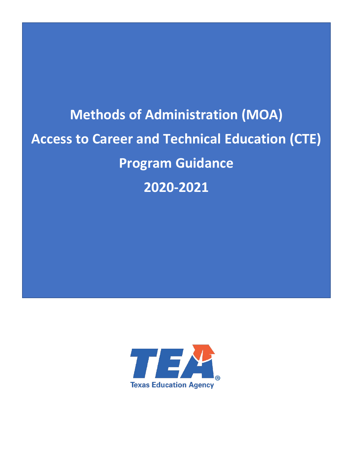# **Methods of Administration (MOA) Access to Career and Technical Education (CTE) Program Guidance 2020-2021**

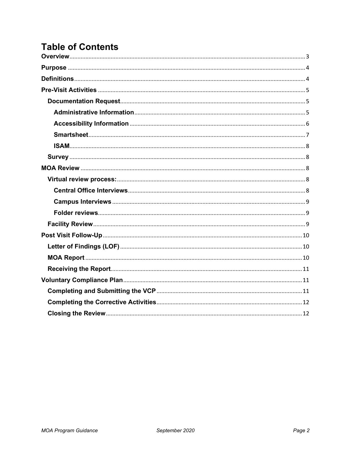## **Table of Contents**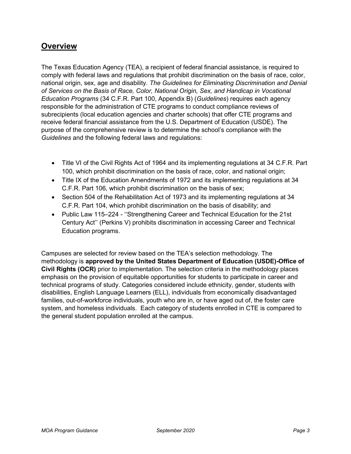## <span id="page-2-0"></span>**Overview**

The Texas Education Agency (TEA), a recipient of federal financial assistance, is required to comply with federal laws and regulations that prohibit discrimination on the basis of race, color, national origin, sex, age and disability. *The Guidelines for Eliminating Discrimination and Denial of Services on the Basis of Race, Color, National Origin, Sex, and Handicap in Vocational Education Programs* (34 C.F.R. Part 100, Appendix B) (*Guidelines*) requires each agency responsible for the administration of CTE programs to conduct compliance reviews of subrecipients (local education agencies and charter schools) that offer CTE programs and receive federal financial assistance from the U.S. Department of Education (USDE). The purpose of the comprehensive review is to determine the school's compliance with the *Guidelines* and the following federal laws and regulations:

- Title VI of the Civil Rights Act of 1964 and its implementing regulations at 34 C.F.R. Part 100, which prohibit discrimination on the basis of race, color, and national origin;
- Title IX of the Education Amendments of 1972 and its implementing regulations at 34 C.F.R. Part 106, which prohibit discrimination on the basis of sex;
- Section 504 of the Rehabilitation Act of 1973 and its implementing regulations at 34 C.F.R. Part 104, which prohibit discrimination on the basis of disability; and
- Public Law 115–224 ''Strengthening Career and Technical Education for the 21st Century Act'' (Perkins V) prohibits discrimination in accessing Career and Technical Education programs.

Campuses are selected for review based on the TEA's selection methodology. The methodology is **approved by the United States Department of Education (USDE)-Office of Civil Rights (OCR)** prior to implementation. The selection criteria in the methodology places emphasis on the provision of equitable opportunities for students to participate in career and technical programs of study. Categories considered include ethnicity, gender, students with disabilities, English Language Learners (ELL), individuals from economically disadvantaged families, out-of-workforce individuals, youth who are in, or have aged out of, the foster care system, and homeless individuals. Each category of students enrolled in CTE is compared to the general student population enrolled at the campus.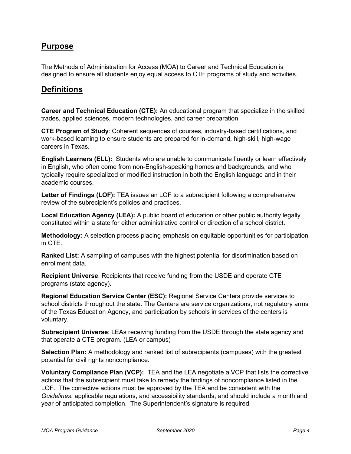## <span id="page-3-0"></span>**Purpose**

The Methods of Administration for Access (MOA) to Career and Technical Education is designed to ensure all students enjoy equal access to CTE programs of study and activities.

## <span id="page-3-1"></span>**Definitions**

**Career and Technical Education (CTE):** An educational program that specialize in the skilled trades, applied sciences, modern technologies, and career preparation.

**CTE Program of Study**: Coherent sequences of courses, industry-based certifications, and work-based learning to ensure students are prepared for in-demand, high-skill, high-wage careers in Texas.

**English Learners (ELL):** Students who are unable to communicate fluently or learn effectively in English, who often come from non-English-speaking homes and backgrounds, and who typically require specialized or modified instruction in both the English language and in their academic courses.

**Letter of Findings (LOF):** TEA issues an LOF to a subrecipient following a comprehensive review of the subrecipient's policies and practices.

**Local Education Agency (LEA):** A public board of education or other public authority legally constituted within a state for either administrative control or direction of a school district.

**Methodology:** A selection process placing emphasis on equitable opportunities for participation in CTE.

**Ranked List:** A sampling of campuses with the highest potential for discrimination based on enrollment data.

**Recipient Universe**: Recipients that receive funding from the USDE and operate CTE programs (state agency).

**Regional Education Service Center (ESC):** Regional Service Centers provide services to school districts throughout the state. The Centers are service organizations, not regulatory arms of the Texas Education Agency, and participation by schools in services of the centers is voluntary.

**Subrecipient Universe**: LEAs receiving funding from the USDE through the state agency and that operate a CTE program. (LEA or campus)

**Selection Plan:** A methodology and ranked list of subrecipients (campuses) with the greatest potential for civil rights noncompliance.

**Voluntary Compliance Plan (VCP):** TEA and the LEA negotiate a VCP that lists the corrective actions that the subrecipient must take to remedy the findings of noncompliance listed in the LOF. The corrective actions must be approved by the TEA and be consistent with the *Guidelines*, applicable regulations, and accessibility standards, and should include a month and year of anticipated completion. The Superintendent's signature is required.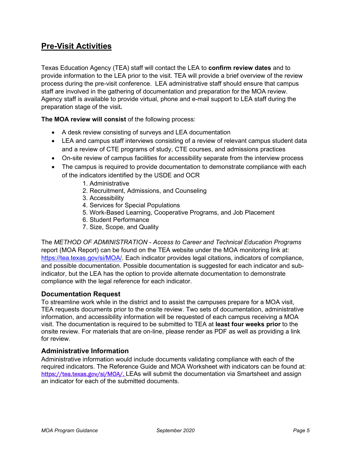## <span id="page-4-0"></span>**Pre-Visit Activities**

Texas Education Agency (TEA) staff will contact the LEA to **confirm review dates** and to provide information to the LEA prior to the visit. TEA will provide a brief overview of the review process during the pre-visit conference. LEA administrative staff should ensure that campus staff are involved in the gathering of documentation and preparation for the MOA review. Agency staff is available to provide virtual, phone and e-mail support to LEA staff during the preparation stage of the visit**.**

**The MOA review will consist** of the following process:

- A desk review consisting of surveys and LEA documentation
- LEA and campus staff interviews consisting of a review of relevant campus student data and a review of CTE programs of study, CTE courses, and admissions practices
- On-site review of campus facilities for accessibility separate from the interview process
- The campus is required to provide documentation to demonstrate compliance with each of the indicators identified by the USDE and OCR
	- 1. Administrative
	- 2. Recruitment, Admissions, and Counseling
	- 3. Accessibility
	- 4. Services for Special Populations
	- 5. Work-Based Learning, Cooperative Programs, and Job Placement
	- 6. Student Performance
	- 7. Size, Scope, and Quality

The *METHOD OF ADMINISTRATION - Access to Career and Technical Education Programs*  report (MOA Report) can be found on the TEA website under the MOA monitoring link at: [https://tea.texas.gov/si/MOA/.](https://tea.texas.gov/si/MOA/) Each indicator provides legal citations, indicators of compliance, and possible documentation. Possible documentation is suggested for each indicator and subindicator, but the LEA has the option to provide alternate documentation to demonstrate compliance with the legal reference for each indicator.

#### <span id="page-4-1"></span>**Documentation Request**

To streamline work while in the district and to assist the campuses prepare for a MOA visit, TEA requests documents prior to the onsite review. Two sets of documentation, administrative information, and accessibility information will be requested of each campus receiving a MOA visit. The documentation is required to be submitted to TEA at **least four weeks prior** to the onsite review. For materials that are on-line, please render as PDF as well as providing a link for review.

#### <span id="page-4-2"></span>**Administrative Information**

Administrative information would include documents validating compliance with each of the required indicators. The Reference Guide and MOA Worksheet with indicators can be found at: [https://tea.texas.gov/si/MOA/.](https://tea.texas.gov/si/MOA/) LEAs will submit the documentation via Smartsheet and assign an indicator for each of the submitted documents.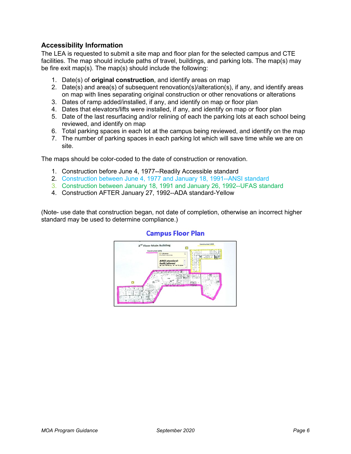#### <span id="page-5-0"></span>**Accessibility Information**

The LEA is requested to submit a site map and floor plan for the selected campus and CTE facilities. The map should include paths of travel, buildings, and parking lots. The map(s) may be fire exit map(s). The map(s) should include the following:

- 1. Date(s) of **original construction**, and identify areas on map
- 2. Date(s) and area(s) of subsequent renovation(s)/alteration(s), if any, and identify areas on map with lines separating original construction or other renovations or alterations
- 3. Dates of ramp added/installed, if any, and identify on map or floor plan
- 4. Dates that elevators/lifts were installed, if any, and identify on map or floor plan
- 5. Date of the last resurfacing and/or relining of each the parking lots at each school being reviewed, and identify on map
- 6. Total parking spaces in each lot at the campus being reviewed, and identify on the map
- 7. The number of parking spaces in each parking lot which will save time while we are on site.

The maps should be color-coded to the date of construction or renovation.

- 1. Construction before June 4, 1977--Readily Accessible standard
- 2. Construction between June 4, 1977 and January 18, 1991--ANSI standard
- 3. Construction between January 18, 1991 and January 26, 1992--UFAS standard
- 4. Construction AFTER January 27, 1992--ADA standard-Yellow

(Note- use date that construction began, not date of completion, otherwise an incorrect higher standard may be used to determine compliance.)



#### **Campus Floor Plan**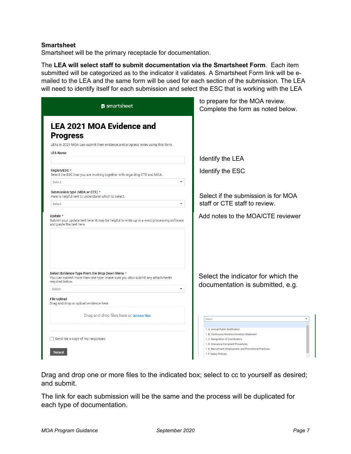#### <span id="page-6-0"></span>**Smartsheet**

Smartsheet will be the primary receptacle for documentation.

The **LEA will select staff to submit documentation via the Smartsheet Form**. Each item submitted will be categorized as to the indicator it validates. A Smartsheet Form link will be emailed to the LEA and the same form will be used for each section of the submission. The LEA will need to identify itself for each submission and select the ESC that is working with the LEA

| <b>M</b> smartsheet                                                                                                                                                                                                      | to prepare for the MOA review.<br>Complete the form as noted below.                                                                                                                                                                                |
|--------------------------------------------------------------------------------------------------------------------------------------------------------------------------------------------------------------------------|----------------------------------------------------------------------------------------------------------------------------------------------------------------------------------------------------------------------------------------------------|
| <b>LEA 2021 MOA Evidence and</b><br><b>Progress</b>                                                                                                                                                                      |                                                                                                                                                                                                                                                    |
| LEAs in 2021 MOA can submit their evidence and progress notes using this form.<br><b>LEA Name</b>                                                                                                                        |                                                                                                                                                                                                                                                    |
|                                                                                                                                                                                                                          | Identify the LEA                                                                                                                                                                                                                                   |
| Region/ESC*<br>Select the ESC that you are working together with regarding CTE and MOA.                                                                                                                                  | Identify the ESC                                                                                                                                                                                                                                   |
| Select<br>٠                                                                                                                                                                                                              |                                                                                                                                                                                                                                                    |
| Submission type (MOA or CTE) *<br>Here is helpful text to understand which to select.<br>٠<br>Select                                                                                                                     | Select if the submission is for MOA<br>staff or CTE staff to review.                                                                                                                                                                               |
| Update $*$<br>Submit your update text here. It may be helpful to write up in a word processing software<br>and paste the text here.                                                                                      | Add notes to the MOA/CTE reviewer                                                                                                                                                                                                                  |
| Select Evidence Type From the Drop Down Menu *<br>You can submit more than one type. make sure you also submit any attachments<br>required below.<br>٠<br>Select<br>File Upload<br>Drag and drop or upload evidence here | Select the indicator for which the<br>documentation is submitted, e.g.                                                                                                                                                                             |
| Drag and drop files here or browse files                                                                                                                                                                                 | Select                                                                                                                                                                                                                                             |
| Send me a copy of my responses<br><b>Submit</b>                                                                                                                                                                          | 1. A. Annual Public Notification<br>1. B. Continuous Nondiscrimination Statement<br>1. C. Designation of Coordinators<br>1. D. Grievance/Complaint Procedures<br>1. E. Recruitment, Employment, and Promotional Practices<br>1. F. Salary Policies |

Drag and drop one or more files to the indicated box; select to cc to yourself as desired; and submit.

The link for each submission will be the same and the process will be duplicated for each type of documentation.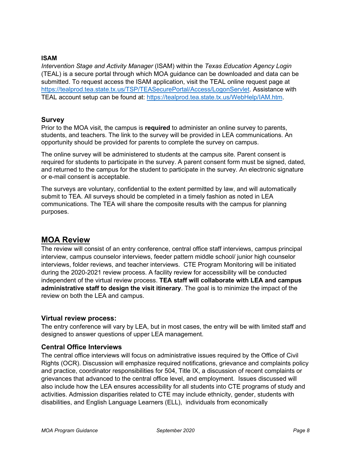#### <span id="page-7-0"></span>**ISAM**

*Intervention Stage and Activity Manager* (ISAM) within the *Texas Education Agency Login*  (TEAL) is a secure portal through which MOA guidance can be downloaded and data can be submitted. To request access the ISAM application, visit the TEAL online request page at [https://tealprod.tea.state.tx.us/TSP/TEASecurePortal/Access/LogonServlet.](https://tealprod.tea.state.tx.us/TSP/TEASecurePortal/Access/LogonServlet) Assistance with TEAL account setup can be found at: [https://tealprod.tea.state.tx.us/WebHelp/IAM.htm.](https://tealprod.tea.state.tx.us/WebHelp/IAM.htm)

#### <span id="page-7-1"></span>**Survey**

Prior to the MOA visit, the campus is **required** to administer an online survey to parents, students, and teachers. The link to the survey will be provided in LEA communications. An opportunity should be provided for parents to complete the survey on campus.

The online survey will be administered to students at the campus site. Parent consent is required for students to participate in the survey. A parent consent form must be signed, dated, and returned to the campus for the student to participate in the survey. An electronic signature or e-mail consent is acceptable.

The surveys are voluntary, confidential to the extent permitted by law, and will automatically submit to TEA. All surveys should be completed in a timely fashion as noted in LEA communications. The TEA will share the composite results with the campus for planning purposes.

### <span id="page-7-2"></span>**MOA Review**

The review will consist of an entry conference, central office staff interviews, campus principal interview, campus counselor interviews, feeder pattern middle school/ junior high counselor interviews, folder reviews, and teacher interviews. CTE Program Monitoring will be initiated during the 2020-2021 review process. A facility review for accessibility will be conducted independent of the virtual review process. **TEA staff will collaborate with LEA and campus administrative staff to design the visit itinerary**. The goal is to minimize the impact of the review on both the LEA and campus.

#### <span id="page-7-3"></span>**Virtual review process:**

The entry conference will vary by LEA, but in most cases, the entry will be with limited staff and designed to answer questions of upper LEA management.

#### <span id="page-7-4"></span>**Central Office Interviews**

The central office interviews will focus on administrative issues required by the Office of Civil Rights (OCR). Discussion will emphasize required notifications, grievance and complaints policy and practice, coordinator responsibilities for 504, Title IX, a discussion of recent complaints or grievances that advanced to the central office level, and employment. Issues discussed will also include how the LEA ensures accessibility for all students into CTE programs of study and activities. Admission disparities related to CTE may include ethnicity, gender, students with disabilities, and English Language Learners (ELL), individuals from economically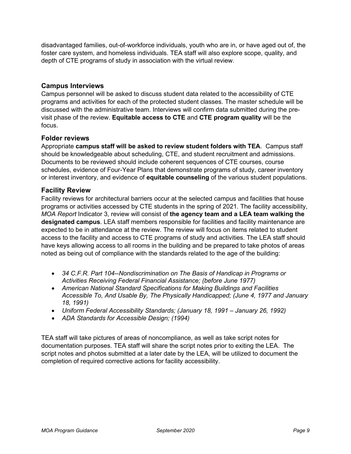disadvantaged families, out-of-workforce individuals, youth who are in, or have aged out of, the foster care system, and homeless individuals. TEA staff will also explore scope, quality, and depth of CTE programs of study in association with the virtual review.

#### <span id="page-8-0"></span>**Campus Interviews**

Campus personnel will be asked to discuss student data related to the accessibility of CTE programs and activities for each of the protected student classes. The master schedule will be discussed with the administrative team. Interviews will confirm data submitted during the previsit phase of the review. **Equitable access to CTE** and **CTE program quality** will be the focus.

#### <span id="page-8-1"></span>**Folder reviews**

Appropriate **campus staff will be asked to review student folders with TEA**. Campus staff should be knowledgeable about scheduling, CTE, and student recruitment and admissions. Documents to be reviewed should include coherent sequences of CTE courses, course schedules, evidence of Four-Year Plans that demonstrate programs of study, career inventory or interest inventory, and evidence of **equitable counseling** of the various student populations.

#### <span id="page-8-2"></span>**Facility Review**

Facility reviews for architectural barriers occur at the selected campus and facilities that house programs or activities accessed by CTE students in the spring of 2021. The facility accessibility, *MOA Report* Indicator 3, review will consist of **the agency team and a LEA team walking the designated campus**. LEA staff members responsible for facilities and facility maintenance are expected to be in attendance at the review. The review will focus on items related to student access to the facility and access to CTE programs of study and activities. The LEA staff should have keys allowing access to all rooms in the building and be prepared to take photos of areas noted as being out of compliance with the standards related to the age of the building:

- *34 C.F.R. Part 104--Nondiscrimination on The Basis of Handicap in Programs or Activities Receiving Federal Financial Assistance; (before June 1977)*
- *American National Standard Specifications for Making Buildings and Facilities Accessible To, And Usable By, The Physically Handicapped; (June 4, 1977 and January 18, 1991)*
- *Uniform Federal Accessibility Standards; (January 18, 1991 – January 26, 1992)*
- *ADA Standards for Accessible Design; (1994)*

TEA staff will take pictures of areas of noncompliance, as well as take script notes for documentation purposes. TEA staff will share the script notes prior to exiting the LEA. The script notes and photos submitted at a later date by the LEA, will be utilized to document the completion of required corrective actions for facility accessibility.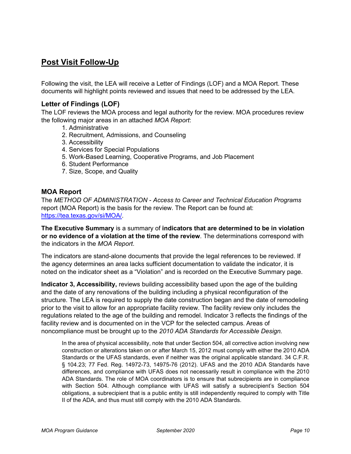## <span id="page-9-0"></span>**Post Visit Follow-Up**

Following the visit, the LEA will receive a Letter of Findings (LOF) and a MOA Report. These documents will highlight points reviewed and issues that need to be addressed by the LEA.

#### <span id="page-9-1"></span>**Letter of Findings (LOF)**

The LOF reviews the MOA process and legal authority for the review. MOA procedures review the following major areas in an attached *MOA Report*:

- 1. Administrative
- 2. Recruitment, Admissions, and Counseling
- 3. Accessibility
- 4. Services for Special Populations
- 5. Work-Based Learning, Cooperative Programs, and Job Placement
- 6. Student Performance
- 7. Size, Scope, and Quality

#### <span id="page-9-2"></span>**MOA Report**

The *METHOD OF ADMINISTRATION - Access to Career and Technical Education Programs*  report (MOA Report) is the basis for the review. The Report can be found at: [https://tea.texas.gov/si/MOA/.](https://tea.texas.gov/si/MOA/)

**The Executive Summary** is a summary of **indicators that are determined to be in violation or no evidence of a violation at the time of the review**. The determinations correspond with the indicators in the *MOA Report*.

The indicators are stand-alone documents that provide the legal references to be reviewed. If the agency determines an area lacks sufficient documentation to validate the indicator, it is noted on the indicator sheet as a "Violation" and is recorded on the Executive Summary page.

**Indicator 3, Accessibility,** reviews building accessibility based upon the age of the building and the date of any renovations of the building including a physical reconfiguration of the structure. The LEA is required to supply the date construction began and the date of remodeling prior to the visit to allow for an appropriate facility review. The facility review only includes the regulations related to the age of the building and remodel. Indicator 3 reflects the findings of the facility review and is documented on in the VCP for the selected campus. Areas of noncompliance must be brought up to the *2010 ADA Standards for Accessible Design.*

In the area of physical accessibility, note that under Section 504, all corrective action involving new construction or alterations taken on or after March 15, 2012 must comply with either the 2010 ADA Standards or the UFAS standards, even if neither was the original applicable standard. 34 C.F.R. § 104.23; 77 Fed. Reg. 14972-73, 14975-76 (2012). UFAS and the 2010 ADA Standards have differences, and compliance with UFAS does not necessarily result in compliance with the 2010 ADA Standards. The role of MOA coordinators is to ensure that subrecipients are in compliance with Section 504. Although compliance with UFAS will satisfy a subrecipient's Section 504 obligations, a subrecipient that is a public entity is still independently required to comply with Title II of the ADA, and thus must still comply with the 2010 ADA Standards.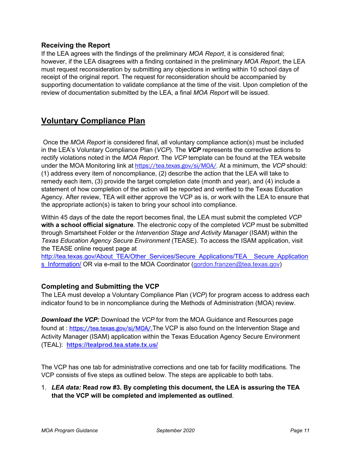#### <span id="page-10-0"></span>**Receiving the Report**

If the LEA agrees with the findings of the preliminary *MOA Report*, it is considered final; however, if the LEA disagrees with a finding contained in the preliminary *MOA Report*, the LEA must request reconsideration by submitting any objections in writing within 10 school days of receipt of the original report. The request for reconsideration should be accompanied by supporting documentation to validate compliance at the time of the visit. Upon completion of the review of documentation submitted by the LEA, a final *MOA Report* will be issued.

## <span id="page-10-1"></span>**Voluntary Compliance Plan**

Once the *MOA Report* is considered final, all voluntary compliance action(s) must be included in the LEA's Voluntary Compliance Plan (*VCP*). The *VCP* represents the corrective actions to rectify violations noted in the *MOA Report*. The *VCP* template can be found at the TEA website under the MOA Monitoring link at [https://tea.texas.gov/si/MOA/.](https://tea.texas.gov/si/MOA/) At a minimum, the *VCP* should: (1) address every item of noncompliance, (2) describe the action that the LEA will take to remedy each item, (3) provide the target completion date (month and year), and (4) include a statement of how completion of the action will be reported and verified to the Texas Education Agency. After review, TEA will either approve the VCP as is, or work with the LEA to ensure that the appropriate action(s) is taken to bring your school into compliance.

Within 45 days of the date the report becomes final, the LEA must submit the completed *VCP*  **with a school official signature***.* The electronic copy of the completed *VCP* must be submitted through Smartsheet Folder or the *Intervention Stage and Activity Manager* (ISAM) within the *Texas Education Agency Secure Environment* (TEASE). To access the ISAM application, visit the TEASE online request page at

[http://tea.texas.gov/About\\_TEA/Other\\_Services/Secure\\_Applications/TEA\\_\\_Secure\\_Application](http://tea.texas.gov/About_TEA/Other_Services/Secure_Applications/TEA__Secure_Applications_Information/) s Information/ OR via e-mail to the MOA Coordinator (gordon.franzen@tea.texas.gov)

#### <span id="page-10-2"></span>**Completing and Submitting the VCP**

The LEA must develop a Voluntary Compliance Plan (*VCP*) for program access to address each indicator found to be in noncompliance during the Methods of Administration (MOA) review.

*Download the VCP:* Download the *VCP* for from the MOA Guidance and Resources page found at : [https://tea.texas.gov/si/MOA/.](https://tea.texas.gov/si/MOA/)The VCP is also found on the Intervention Stage and Activity Manager (ISAM) application within the Texas Education Agency Secure Environment (TEAL): **<https://tealprod.tea.state.tx.us/>**

The VCP has one tab for administrative corrections and one tab for facility modifications. The VCP consists of five steps as outlined below. The steps are applicable to both tabs.

1. *LEA data:* **Read row #3. By completing this document, the LEA is assuring the TEA that the VCP will be completed and implemented as outlined**.